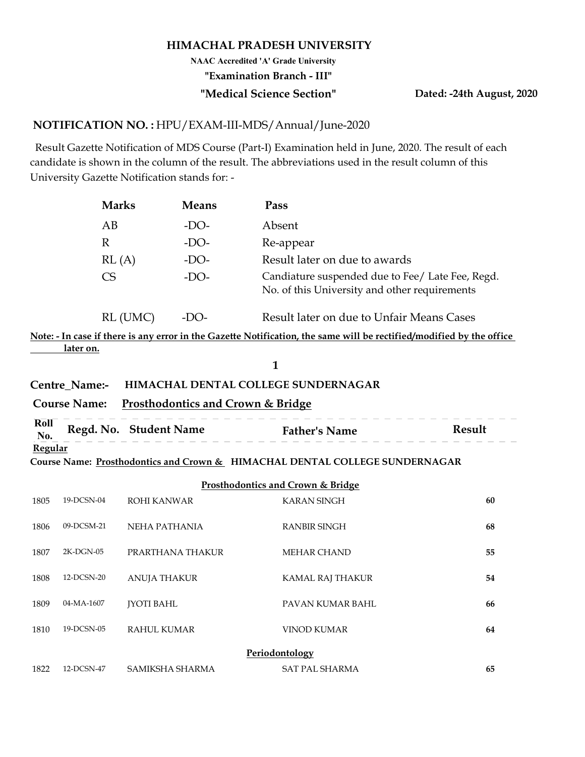#### HIMACHAL PRADESH UNIVERSITY

"Examination Branch - III" NAAC Accredited 'A' Grade University

#### "Medical Science Section" Dated: -24th August, 2020

#### NOTIFICATION NO. : HPU/EXAM-III-MDS/Annual/June-2020

 Result Gazette Notification of MDS Course (Part-I) Examination held in June, 2020. The result of each candidate is shown in the column of the result. The abbreviations used in the result column of this University Gazette Notification stands for: -

| <b>Marks</b><br><b>Means</b><br>Pass<br>AB<br>$-DO-$<br>Absent<br>$\mathbb{R}$<br>$-DO-$<br>Re-appear<br>RL(A)<br>Result later on due to awards<br>$-DO-$<br>Candiature suspended due to Fee/ Late Fee, Regd.<br>CS<br>$-DO-$<br>No. of this University and other requirements<br>RL (UMC)<br>Result later on due to Unfair Means Cases<br>$-DO-$<br><u>later on.</u><br>$\mathbf{1}$<br>HIMACHAL DENTAL COLLEGE SUNDERNAGAR<br>Centre_Name:-<br><b>Course Name:</b><br><b>Prosthodontics and Crown &amp; Bridge</b><br>Roll<br>Regd. No. Student Name<br><b>Father's Name</b><br>Result<br>No.<br><b>Regular</b><br>Course Name: Prosthodontics and Crown & HIMACHAL DENTAL COLLEGE SUNDERNAGAR<br>Prosthodontics and Crown & Bridge<br>19-DCSN-04<br><b>ROHI KANWAR</b><br><b>KARAN SINGH</b><br>60<br>09-DCSM-21<br><b>NEHA PATHANIA</b><br><b>RANBIR SINGH</b><br>68 |      |  |  |  |
|--------------------------------------------------------------------------------------------------------------------------------------------------------------------------------------------------------------------------------------------------------------------------------------------------------------------------------------------------------------------------------------------------------------------------------------------------------------------------------------------------------------------------------------------------------------------------------------------------------------------------------------------------------------------------------------------------------------------------------------------------------------------------------------------------------------------------------------------------------------------------|------|--|--|--|
| Note: - In case if there is any error in the Gazette Notification, the same will be rectified/modified by the office                                                                                                                                                                                                                                                                                                                                                                                                                                                                                                                                                                                                                                                                                                                                                     |      |  |  |  |
|                                                                                                                                                                                                                                                                                                                                                                                                                                                                                                                                                                                                                                                                                                                                                                                                                                                                          |      |  |  |  |
|                                                                                                                                                                                                                                                                                                                                                                                                                                                                                                                                                                                                                                                                                                                                                                                                                                                                          |      |  |  |  |
|                                                                                                                                                                                                                                                                                                                                                                                                                                                                                                                                                                                                                                                                                                                                                                                                                                                                          |      |  |  |  |
|                                                                                                                                                                                                                                                                                                                                                                                                                                                                                                                                                                                                                                                                                                                                                                                                                                                                          |      |  |  |  |
|                                                                                                                                                                                                                                                                                                                                                                                                                                                                                                                                                                                                                                                                                                                                                                                                                                                                          |      |  |  |  |
|                                                                                                                                                                                                                                                                                                                                                                                                                                                                                                                                                                                                                                                                                                                                                                                                                                                                          |      |  |  |  |
|                                                                                                                                                                                                                                                                                                                                                                                                                                                                                                                                                                                                                                                                                                                                                                                                                                                                          |      |  |  |  |
|                                                                                                                                                                                                                                                                                                                                                                                                                                                                                                                                                                                                                                                                                                                                                                                                                                                                          |      |  |  |  |
|                                                                                                                                                                                                                                                                                                                                                                                                                                                                                                                                                                                                                                                                                                                                                                                                                                                                          |      |  |  |  |
|                                                                                                                                                                                                                                                                                                                                                                                                                                                                                                                                                                                                                                                                                                                                                                                                                                                                          |      |  |  |  |
|                                                                                                                                                                                                                                                                                                                                                                                                                                                                                                                                                                                                                                                                                                                                                                                                                                                                          |      |  |  |  |
|                                                                                                                                                                                                                                                                                                                                                                                                                                                                                                                                                                                                                                                                                                                                                                                                                                                                          |      |  |  |  |
|                                                                                                                                                                                                                                                                                                                                                                                                                                                                                                                                                                                                                                                                                                                                                                                                                                                                          |      |  |  |  |
|                                                                                                                                                                                                                                                                                                                                                                                                                                                                                                                                                                                                                                                                                                                                                                                                                                                                          |      |  |  |  |
|                                                                                                                                                                                                                                                                                                                                                                                                                                                                                                                                                                                                                                                                                                                                                                                                                                                                          | 1805 |  |  |  |
|                                                                                                                                                                                                                                                                                                                                                                                                                                                                                                                                                                                                                                                                                                                                                                                                                                                                          | 1806 |  |  |  |

## Centre\_Name:- HIMACHAL DENTAL COLLEGE SUNDERNAGAR

## Course Name: Prosthodontics and Crown & Bridge

| Roll<br>No.     | Regd. No. Student Name | <b>Father's Name</b>                                                        | <b>Result</b> |
|-----------------|------------------------|-----------------------------------------------------------------------------|---------------|
| <u> Regular</u> |                        |                                                                             |               |
|                 |                        | Course Name: Prosthodontics and Crown & HIMACHAI DENTAI COLLEGE SUNDERNAGAR |               |

|                |                     | RL (UMC)<br>$-DO-$                           | Result later on due to Unfair Means Cases                                                                            |        |
|----------------|---------------------|----------------------------------------------|----------------------------------------------------------------------------------------------------------------------|--------|
|                |                     |                                              | Note: - In case if there is any error in the Gazette Notification, the same will be rectified/modified by the office |        |
|                | later on.           |                                              |                                                                                                                      |        |
|                |                     |                                              | 1                                                                                                                    |        |
|                | Centre_Name:-       |                                              | HIMACHAL DENTAL COLLEGE SUNDERNAGAR                                                                                  |        |
|                | <b>Course Name:</b> | <b>Prosthodontics and Crown &amp; Bridge</b> |                                                                                                                      |        |
| Roll<br>No.    |                     | Regd. No. Student Name Father's Name         |                                                                                                                      | Result |
| <b>Regular</b> |                     |                                              |                                                                                                                      |        |
|                |                     |                                              | Course Name: Prosthodontics and Crown & HIMACHAL DENTAL COLLEGE SUNDERNAGAR                                          |        |
|                |                     |                                              | Prosthodontics and Crown & Bridge                                                                                    |        |
| 1805           | 19-DCSN-04          | <b>ROHI KANWAR</b>                           | <b>KARAN SINGH</b>                                                                                                   | 60     |
| 1806           | 09-DCSM-21          | NEHA PATHANIA                                | <b>RANBIR SINGH</b>                                                                                                  | 68     |
| 1807           | 2K-DGN-05           | PRARTHANA THAKUR                             | <b>MEHAR CHAND</b>                                                                                                   | 55     |
| 1808           | 12-DCSN-20          | <b>ANUJA THAKUR</b>                          | KAMAL RAJ THAKUR                                                                                                     | 54     |
| 1809           | 04-MA-1607          | <b>JYOTI BAHL</b>                            | PAVAN KUMAR BAHL                                                                                                     | 66     |
| 1810           | 19-DCSN-05          | <b>RAHUL KUMAR</b>                           | <b>VINOD KUMAR</b>                                                                                                   | 64     |
|                |                     |                                              | Periodontology                                                                                                       |        |
| 1822           | 12-DCSN-47          | SAMIKSHA SHARMA                              | <b>SAT PAL SHARMA</b>                                                                                                | 65     |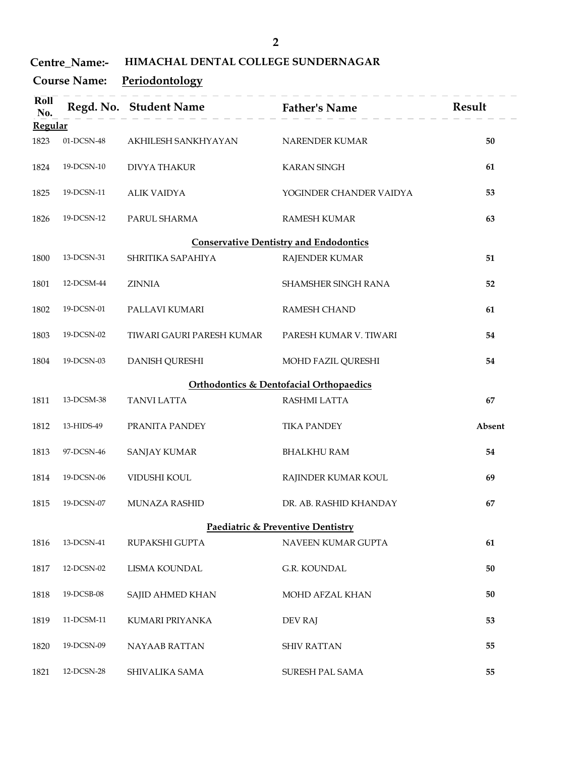| $\overline{2}$ |  |  |  |
|----------------|--|--|--|
|                |  |  |  |

#### Centre\_Name:- HIMACHAL DENTAL COLLEGE SUNDERNAGAR

|             | Centre_Name:-<br><b>Course Name:</b> | HIMACHAL DENTAL COLLEGE SUNDERNAGAR<br>Periodontology | $\overline{2}$                                |        |
|-------------|--------------------------------------|-------------------------------------------------------|-----------------------------------------------|--------|
| Roll<br>No. |                                      | Regd. No. Student Name Father's Name                  |                                               | Result |
| Regular     |                                      |                                                       |                                               |        |
| 1823        | 01-DCSN-48                           | AKHILESH SANKHYAYAN                                   | NARENDER KUMAR                                | 50     |
| 1824        | 19-DCSN-10                           | <b>DIVYA THAKUR</b>                                   | <b>KARAN SINGH</b>                            | 61     |
| 1825        | 19-DCSN-11                           | <b>ALIK VAIDYA</b>                                    | YOGINDER CHANDER VAIDYA                       | 53     |
| 1826        | 19-DCSN-12                           | PARUL SHARMA                                          | <b>RAMESH KUMAR</b>                           | 63     |
|             |                                      |                                                       | <b>Conservative Dentistry and Endodontics</b> |        |
| 1800        | 13-DCSN-31                           | SHRITIKA SAPAHIYA                                     | RAJENDER KUMAR                                | 51     |
| 1801        | 12-DCSM-44                           | <b>ZINNIA</b>                                         | SHAMSHER SINGH RANA                           | 52     |
| 1802        | 19-DCSN-01                           | PALLAVI KUMARI                                        | RAMESH CHAND                                  | 61     |
| 1803        | 19-DCSN-02                           | TIWARI GAURI PARESH KUMAR                             | PARESH KUMAR V. TIWARI                        | 54     |
|             | 19-DCSN-03                           | DANISH QURESHI                                        | MOHD FAZIL QURESHI                            | 54     |

| 1803 | 19-DCSN-02 | TIWARI GAURI PARESH KUMAR | PARESH KUMAR V. TIWARI                             | 54  |
|------|------------|---------------------------|----------------------------------------------------|-----|
| 1804 | 19-DCSN-03 | DANISH QURESHI            | MOHD FAZIL OURESHI                                 | 54  |
|      |            |                           | <b>Orthodontics &amp; Dentofacial Orthopaedics</b> |     |
| 1811 | 13-DCSM-38 | TANVI LATTA               | RASHMI LATTA                                       | -67 |

| 1811 | 13-DCSM-38 | TANVI LATTA    | RASHMI LATTA       | 67     |
|------|------------|----------------|--------------------|--------|
| 1812 | 13-HIDS-49 | PRANITA PANDEY | <b>TIKA PANDEY</b> | Absent |
| 1813 | 97-DCSN-46 | SANJAY KUMAR   | BHALKHU RAM        | 54     |

|      |            |               | Paediatric & Preventive Dentistry |    |
|------|------------|---------------|-----------------------------------|----|
| 1815 | 19-DCSN-07 | MUNAZA RASHID | DR. AB. RASHID KHANDAY            | 67 |
| 1814 | 19-DCSN-06 | VIDUSHI KOUL  | RAJINDER KUMAR KOUL               | 69 |

| 1804 | 19-DCSN-03 | <b>DANISH QURESHI</b> | MOHD FAZIL QURESHI                                 | 54     |
|------|------------|-----------------------|----------------------------------------------------|--------|
|      |            |                       | <b>Orthodontics &amp; Dentofacial Orthopaedics</b> |        |
| 1811 | 13-DCSM-38 | <b>TANVI LATTA</b>    | RASHMI LATTA                                       | 67     |
| 1812 | 13-HIDS-49 | PRANITA PANDEY        | <b>TIKA PANDEY</b>                                 | Absent |
| 1813 | 97-DCSN-46 | <b>SANJAY KUMAR</b>   | <b>BHALKHU RAM</b>                                 | 54     |
| 1814 | 19-DCSN-06 | VIDUSHI KOUL          | RAJINDER KUMAR KOUL                                | 69     |
| 1815 | 19-DCSN-07 | MUNAZA RASHID         | DR. AB. RASHID KHANDAY                             | 67     |
|      |            |                       | <b>Paediatric &amp; Preventive Dentistry</b>       |        |
| 1816 | 13-DCSN-41 | RUPAKSHI GUPTA        | NAVEEN KUMAR GUPTA                                 | 61     |
| 1817 | 12-DCSN-02 | LISMA KOUNDAL         | G.R. KOUNDAL                                       | 50     |
| 1818 | 19-DCSB-08 | SAJID AHMED KHAN      | MOHD AFZAL KHAN                                    | 50     |
| 1819 | 11-DCSM-11 | KUMARI PRIYANKA       | <b>DEV RAJ</b>                                     | 53     |
| 1820 | 19-DCSN-09 | NAYAAB RATTAN         | <b>SHIV RATTAN</b>                                 | 55     |
|      |            |                       |                                                    |        |

| 1820 | 19-DCSN-09 | NAYAAB RATTAN  | <b>SHIV RATTAN</b> | 55 |
|------|------------|----------------|--------------------|----|
| 1821 | 12-DCSN-28 | SHIVALIKA SAMA | SURESH PAL SAMA    | 55 |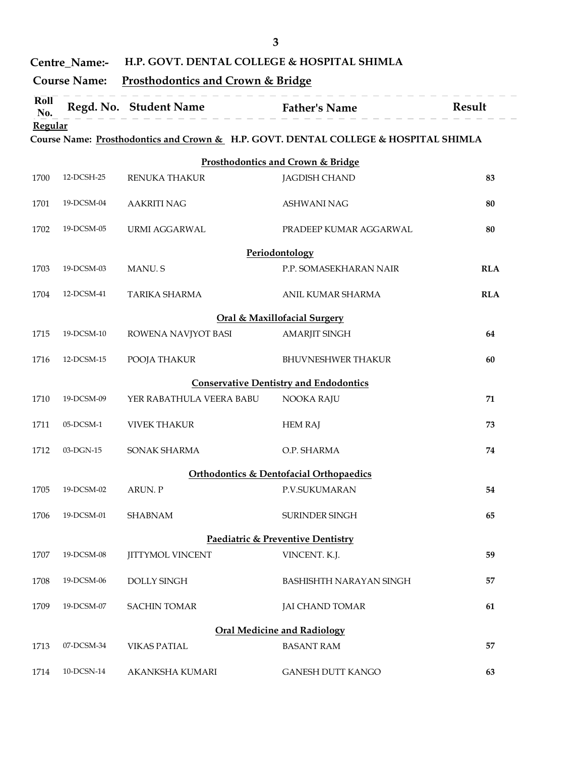|                       |                                      | H.P. GOVT. DENTAL COLLEGE & HOSPITAL SHIMLA  | 3                                                                                   |            |
|-----------------------|--------------------------------------|----------------------------------------------|-------------------------------------------------------------------------------------|------------|
|                       | Centre_Name:-<br><b>Course Name:</b> | <b>Prosthodontics and Crown &amp; Bridge</b> |                                                                                     |            |
| Roll                  |                                      | Regd. No. Student Name Father's Name         |                                                                                     | Result     |
| No.<br><b>Regular</b> |                                      |                                              |                                                                                     |            |
|                       |                                      |                                              | Course Name: Prosthodontics and Crown & H.P. GOVT. DENTAL COLLEGE & HOSPITAL SHIMLA |            |
|                       |                                      |                                              | <b>Prosthodontics and Crown &amp; Bridge</b>                                        |            |
| 1700                  | 12-DCSH-25                           | RENUKA THAKUR                                | <b>JAGDISH CHAND</b>                                                                | 83         |
| 1701                  | 19-DCSM-04                           | <b>AAKRITI NAG</b>                           | <b>ASHWANI NAG</b>                                                                  | 80         |
| 1702                  | 19-DCSM-05                           | URMI AGGARWAL                                | PRADEEP KUMAR AGGARWAL                                                              | 80         |
|                       |                                      |                                              | Periodontology                                                                      |            |
| 1703                  | 19-DCSM-03                           | MANU. S                                      | P.P. SOMASEKHARAN NAIR                                                              | <b>RLA</b> |
|                       | 1704 12-DCSM-41                      | TARIKA SHARMA                                | ANIL KUMAR SHARMA                                                                   | <b>RLA</b> |
|                       |                                      |                                              | <b>Oral &amp; Maxillofacial Surgery</b>                                             |            |
| 1715                  | 19-DCSM-10                           | ROWENA NAVJYOT BASI                          | <b>AMARJIT SINGH</b>                                                                | 64         |
| 1716                  | 12-DCSM-15                           | POOJA THAKUR                                 | <b>BHUVNESHWER THAKUR</b>                                                           | 60         |
|                       |                                      |                                              | <b>Conservative Dentistry and Endodontics</b>                                       |            |
| 1710                  | 19-DCSM-09                           | YER RABATHULA VEERA BABU                     | NOOKA RAJU                                                                          | 71         |
| 1711                  | $05$ -DCSM-1                         | <b>VIVEK THAKUR</b>                          | <b>HEM RAJ</b>                                                                      | 73         |
| 1712                  | 03-DGN-15                            | SONAK SHARMA                                 | O.P. SHARMA                                                                         | 74         |
|                       |                                      |                                              | <b>Orthodontics &amp; Dentofacial Orthopaedics</b>                                  |            |
| 1705                  | 19-DCSM-02                           | ARUN. P                                      | P.V.SUKUMARAN                                                                       | 54         |
| 1706                  | 19-DCSM-01                           | <b>SHABNAM</b>                               | SURINDER SINGH                                                                      | 65         |
|                       |                                      |                                              | Paediatric & Preventive Dentistry                                                   |            |
| 1707                  | 19-DCSM-08                           | <b>JITTYMOL VINCENT</b>                      | VINCENT. K.J.                                                                       | 59         |
| 1708                  | 19-DCSM-06                           | DOLLY SINGH                                  | BASHISHTH NARAYAN SINGH                                                             | 57         |
| 1709                  | 19-DCSM-07                           | <b>SACHIN TOMAR</b>                          | <b>JAI CHAND TOMAR</b>                                                              | 61         |
|                       |                                      |                                              | <b>Oral Medicine and Radiology</b>                                                  |            |
| 1713                  | 07-DCSM-34                           | <b>VIKAS PATIAL</b>                          | <b>BASANT RAM</b>                                                                   | 57         |
| 1714                  | 10-DCSN-14                           | AKANKSHA KUMARI                              | GANESH DUTT KANGO                                                                   | 63         |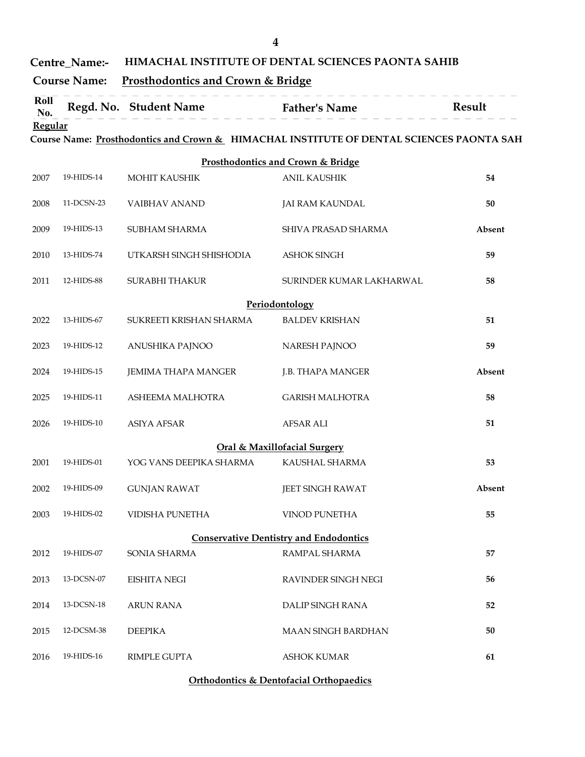|                | Centre_Name:-       |                                                                        | 4<br>HIMACHAL INSTITUTE OF DENTAL SCIENCES PAONTA SAHIB                                  |        |
|----------------|---------------------|------------------------------------------------------------------------|------------------------------------------------------------------------------------------|--------|
| Roll           | <b>Course Name:</b> | <b>Prosthodontics and Crown &amp; Bridge</b><br>Regd. No. Student Name |                                                                                          | Result |
| No.<br>Regular |                     |                                                                        | <b>Father's Name</b>                                                                     |        |
|                |                     |                                                                        | Course Name: Prosthodontics and Crown & HIMACHAL INSTITUTE OF DENTAL SCIENCES PAONTA SAH |        |
| 2007           | 19-HIDS-14          | <b>MOHIT KAUSHIK</b>                                                   | <b>Prosthodontics and Crown &amp; Bridge</b><br><b>ANIL KAUSHIK</b>                      | 54     |
| 2008           | 11-DCSN-23          | VAIBHAV ANAND                                                          | JAI RAM KAUNDAL                                                                          | 50     |
|                |                     |                                                                        |                                                                                          |        |
| 2009           | 19-HIDS-13          | SUBHAM SHARMA                                                          | SHIVA PRASAD SHARMA                                                                      | Absent |
| 2010           | 13-HIDS-74          | UTKARSH SINGH SHISHODIA                                                | <b>ASHOK SINGH</b>                                                                       | 59     |
| 2011           | 12-HIDS-88          | SURABHI THAKUR                                                         | SURINDER KUMAR LAKHARWAL                                                                 | 58     |
| 2022           | 13-HIDS-67          | SUKREETI KRISHAN SHARMA                                                | Periodontology<br><b>BALDEV KRISHAN</b>                                                  | 51     |
|                |                     |                                                                        |                                                                                          |        |
| 2023           | 19-HIDS-12          | ANUSHIKA PAJNOO                                                        | NARESH PAJNOO                                                                            | 59     |
| 2024           | 19-HIDS-15          | JEMIMA THAPA MANGER                                                    | J.B. THAPA MANGER                                                                        | Absent |
| 2025           | 19-HIDS-11          | ASHEEMA MALHOTRA                                                       | <b>GARISH MALHOTRA</b>                                                                   | 58     |
| 2026           | 19-HIDS-10          | <b>ASIYA AFSAR</b>                                                     | <b>AFSAR ALI</b>                                                                         | 51     |
|                |                     |                                                                        | <b>Oral &amp; Maxillofacial Surgery</b>                                                  |        |
| 2001           | 19-HIDS-01          | YOG VANS DEEPIKA SHARMA                                                | KAUSHAL SHARMA                                                                           | 53     |
| 2002           | 19-HIDS-09          | <b>GUNJAN RAWAT</b>                                                    | JEET SINGH RAWAT                                                                         | Absent |
| 2003           | 19-HIDS-02          | <b>VIDISHA PUNETHA</b>                                                 | VINOD PUNETHA                                                                            | 55     |
|                |                     |                                                                        | <b>Conservative Dentistry and Endodontics</b>                                            |        |
| 2012           | 19-HIDS-07          | SONIA SHARMA                                                           | RAMPAL SHARMA                                                                            | 57     |
| 2013           | $13$ -DCSN-07 $\,$  | <b>EISHITA NEGI</b>                                                    | RAVINDER SINGH NEGI                                                                      | 56     |
| 2014           | 13-DCSN-18          | <b>ARUN RANA</b>                                                       | DALIP SINGH RANA                                                                         | 52     |
| 2015           | 12-DCSM-38          | <b>DEEPIKA</b>                                                         | MAAN SINGH BARDHAN                                                                       | 50     |
| 2016           | 19-HIDS-16          | RIMPLE GUPTA                                                           | <b>ASHOK KUMAR</b>                                                                       | 61     |
|                |                     |                                                                        |                                                                                          |        |

#### Orthodontics & Dentofacial Orthopaedics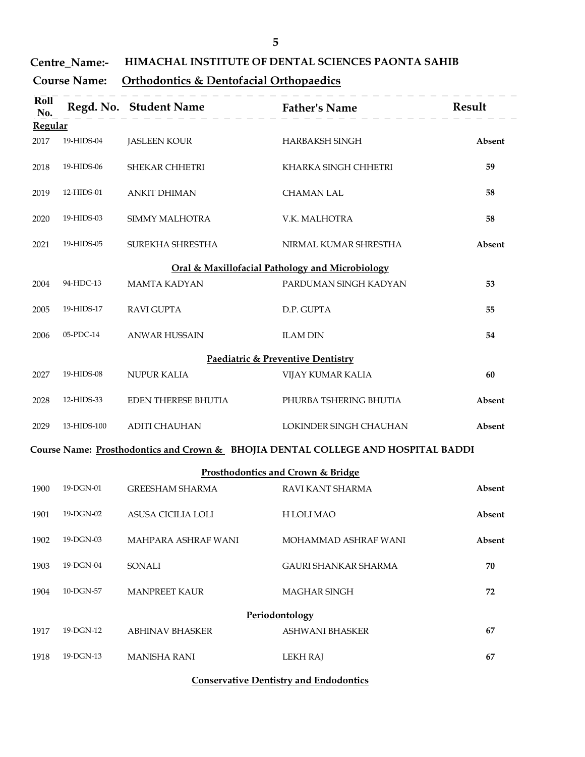| <b>Centre Name:-</b> | <b>HIMACHAL INSTITUTE OF DENTAL SCIENCES PAONTA SAHIB</b> |  |
|----------------------|-----------------------------------------------------------|--|
|----------------------|-----------------------------------------------------------|--|

# Course Name: Orthodontics & Dentofacial Orthopaedics

|                        | Centre_Name:-       | 5<br>HIMACHAL INSTITUTE OF DENTAL SCIENCES PAONTA SAHIB |                                                                                  |        |  |  |
|------------------------|---------------------|---------------------------------------------------------|----------------------------------------------------------------------------------|--------|--|--|
|                        | <b>Course Name:</b> | Orthodontics & Dentofacial Orthopaedics                 |                                                                                  |        |  |  |
| Roll<br>No.            |                     | Regd. No. Student Name Father's Name                    |                                                                                  | Result |  |  |
| <b>Regular</b><br>2017 | 19-HIDS-04          | <b>JASLEEN KOUR</b>                                     | <b>HARBAKSH SINGH</b>                                                            | Absent |  |  |
|                        |                     |                                                         |                                                                                  |        |  |  |
| 2018                   | 19-HIDS-06          | SHEKAR CHHETRI                                          | KHARKA SINGH CHHETRI                                                             | 59     |  |  |
| 2019                   | 12-HIDS-01          | <b>ANKIT DHIMAN</b>                                     | <b>CHAMAN LAL</b>                                                                | 58     |  |  |
| 2020                   | 19-HIDS-03          | SIMMY MALHOTRA                                          | V.K. MALHOTRA                                                                    | 58     |  |  |
| 2021                   | 19-HIDS-05          | SUREKHA SHRESTHA                                        | NIRMAL KUMAR SHRESTHA                                                            | Absent |  |  |
|                        |                     |                                                         | Oral & Maxillofacial Pathology and Microbiology                                  |        |  |  |
| 2004                   | 94-HDC-13           | <b>MAMTA KADYAN</b>                                     | PARDUMAN SINGH KADYAN                                                            | 53     |  |  |
| 2005                   | 19-HIDS-17          | <b>RAVI GUPTA</b>                                       | D.P. GUPTA                                                                       | 55     |  |  |
| 2006                   | 05-PDC-14           | <b>ANWAR HUSSAIN</b>                                    | <b>ILAM DIN</b>                                                                  | 54     |  |  |
|                        |                     |                                                         | <b>Paediatric &amp; Preventive Dentistry</b>                                     |        |  |  |
| 2027                   | 19-HIDS-08          | NUPUR KALIA                                             | VIJAY KUMAR KALIA                                                                | 60     |  |  |
| 2028                   | 12-HIDS-33          | EDEN THERESE BHUTIA                                     | PHURBA TSHERING BHUTIA                                                           | Absent |  |  |
| 2029                   | 13-HIDS-100         | <b>ADITI CHAUHAN</b>                                    | LOKINDER SINGH CHAUHAN                                                           | Absent |  |  |
|                        |                     |                                                         | Course Name: Prosthodontics and Crown & BHOJIA DENTAL COLLEGE AND HOSPITAL BADDI |        |  |  |
|                        |                     |                                                         | Prosthodontics and Crown & Bridge                                                |        |  |  |
| 1900                   | 19-DGN-01           | <b>GREESHAM SHARMA</b>                                  | RAVI KANT SHARMA                                                                 | Absent |  |  |
| 1901                   | 19-DGN-02           | ASUSA CICILIA LOLI                                      | H LOLI MAO                                                                       | Absent |  |  |
| 1902                   | 19-DGN-03           | MAHPARA ASHRAF WANI                                     | MOHAMMAD ASHRAF WANI                                                             | Absent |  |  |
| 1903                   | 19-DGN-04           | <b>SONALI</b>                                           | GAURI SHANKAR SHARMA                                                             | 70     |  |  |
| 1904                   | 10-DGN-57           | MANPREET KAUR                                           | MAGHAR SINGH                                                                     | 72     |  |  |
|                        |                     |                                                         | Periodontology                                                                   |        |  |  |
| 1917                   | 19-DGN-12           | <b>ABHINAV BHASKER</b>                                  | ASHWANI BHASKER                                                                  | 67     |  |  |
| 1918                   | 19-DGN-13           | <b>MANISHA RANI</b>                                     | <b>LEKH RAJ</b>                                                                  | 67     |  |  |

## Conservative Dentistry and Endodontics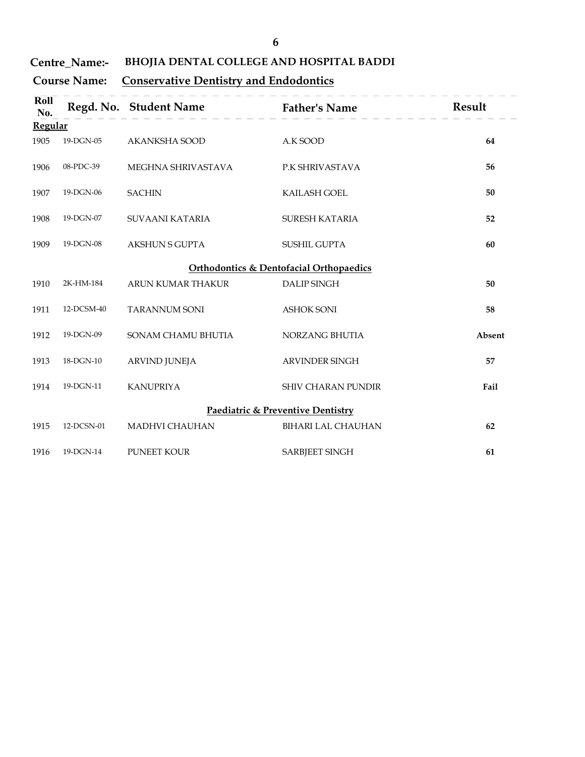# Centre\_Name:- BHOJIA DENTAL COLLEGE AND HOSPITAL BADDI

# Course Name: Conservative Dentistry and Endodontics

|             | Centre_Name:-       |                                               | 6<br>BHOJIA DENTAL COLLEGE AND HOSPITAL BADDI      |        |
|-------------|---------------------|-----------------------------------------------|----------------------------------------------------|--------|
|             | <b>Course Name:</b> | <b>Conservative Dentistry and Endodontics</b> |                                                    |        |
| Roll<br>No. |                     | Regd. No. Student Name Father's Name          |                                                    | Result |
| Regular     |                     |                                               |                                                    |        |
| 1905        | 19-DGN-05           | AKANKSHA SOOD                                 | A.K SOOD                                           | 64     |
| 1906        | 08-PDC-39           | MEGHNA SHRIVASTAVA                            | P.K SHRIVASTAVA                                    | 56     |
| 1907        | 19-DGN-06           | <b>SACHIN</b>                                 | KAILASH GOEL                                       | 50     |
| 1908        | 19-DGN-07           | SUVAANI KATARIA                               | SURESH KATARIA                                     | 52     |
| 1909        | 19-DGN-08           | <b>AKSHUN S GUPTA</b>                         | SUSHIL GUPTA                                       | 60     |
|             |                     |                                               | <b>Orthodontics &amp; Dentofacial Orthopaedics</b> |        |
| 1910        | 2K-HM-184           | ARUN KUMAR THAKUR                             | <b>DALIP SINGH</b>                                 | 50     |
| 1911        | 12-DCSM-40          | <b>TARANNUM SONI</b>                          | <b>ASHOK SONI</b>                                  | 58     |
| 1912        | 19-DGN-09           | SONAM CHAMU BHUTIA                            | NORZANG BHUTIA                                     | Absent |
| 1913        | $18$ -DGN- $10$     | ARVIND JUNEJA                                 | ARVINDER SINGH                                     | 57     |
| 1914        | 19-DGN-11           | <b>KANUPRIYA</b>                              | SHIV CHARAN PUNDIR                                 | Fail   |
|             |                     |                                               | Paediatric & Preventive Dentistry                  |        |
| 1915        | 12-DCSN-01          | MADHVI CHAUHAN                                | BIHARI LAL CHAUHAN                                 | 62     |
| 1916        | 19-DGN-14           | PUNEET KOUR                                   | SARBJEET SINGH                                     | 61     |